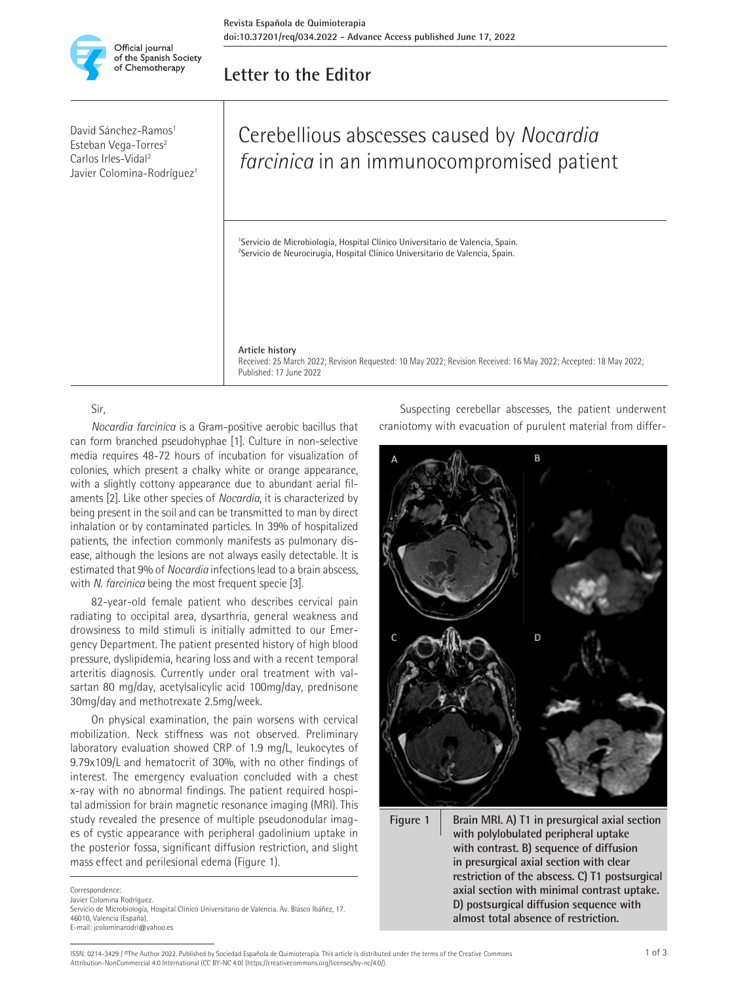

David Sánchez-Ramos<sup>1</sup> Esteban Vega-Torres<sup>2</sup> Carlos Irles-Vidal2 Javier Colomina-Rodríguez<sup>1</sup>

## **Letter to the Editor**

# Cerebellious abscesses caused by *Nocardia farcinica* in an immunocompromised patient

<sup>1</sup>Servicio de Microbiología, Hospital Clínico Universitario de Valencia, Spain. <sup>2</sup>Servicio de Neurocirugía, Hospital Clínico Universitario de Valencia, Spain.

#### **Article history**

Received: 25 March 2022; Revision Requested: 10 May 2022; Revision Received: 16 May 2022; Accepted: 18 May 2022; Published: 17 June 2022

#### Sir,

*Nocardia farcinica* is a Gram-positive aerobic bacillus that can form branched pseudohyphae [1]. Culture in non-selective media requires 48-72 hours of incubation for visualization of colonies, which present a chalky white or orange appearance, with a slightly cottony appearance due to abundant aerial filaments [2]. Like other species of *Nocardia*, it is characterized by being present in the soil and can be transmitted to man by direct inhalation or by contaminated particles. In 39% of hospitalized patients, the infection commonly manifests as pulmonary disease, although the lesions are not always easily detectable. It is estimated that 9% of *Nocardia* infections lead to a brain abscess, with *N. farcinica* being the most frequent specie [3].

82-year-old female patient who describes cervical pain radiating to occipital area, dysarthria, general weakness and drowsiness to mild stimuli is initially admitted to our Emergency Department. The patient presented history of high blood pressure, dyslipidemia, hearing loss and with a recent temporal arteritis diagnosis. Currently under oral treatment with valsartan 80 mg/day, acetylsalicylic acid 100mg/day, prednisone 30mg/day and methotrexate 2.5mg/week.

On physical examination, the pain worsens with cervical mobilization. Neck stiffness was not observed. Preliminary laboratory evaluation showed CRP of 1.9 mg/L, leukocytes of 9.79x109/L and hematocrit of 30%, with no other findings of interest. The emergency evaluation concluded with a chest x-ray with no abnormal findings. The patient required hospital admission for brain magnetic resonance imaging (MRI). This study revealed the presence of multiple pseudonodular images of cystic appearance with peripheral gadolinium uptake in the posterior fossa, significant diffusion restriction, and slight mass effect and perilesional edema (Figure 1).

Javier Colomina Rodríguez.

Suspecting cerebellar abscesses, the patient underwent craniotomy with evacuation of purulent material from differ-



**Figure 1 Brain MRI. A) T1 in presurgical axial section with polylobulated peripheral uptake with contrast. B) sequence of diffusion in presurgical axial section with clear restriction of the abscess. C) T1 postsurgical axial section with minimal contrast uptake. D) postsurgical diffusion sequence with almost total absence of restriction.**

Correspondence

Servicio de Microbiología, Hospital Clínico Universitario de Valencia. Av. Blasco Ibáñez, 17. 46010, Valencia (España). E-mail: jcolominarodri@yahoo.es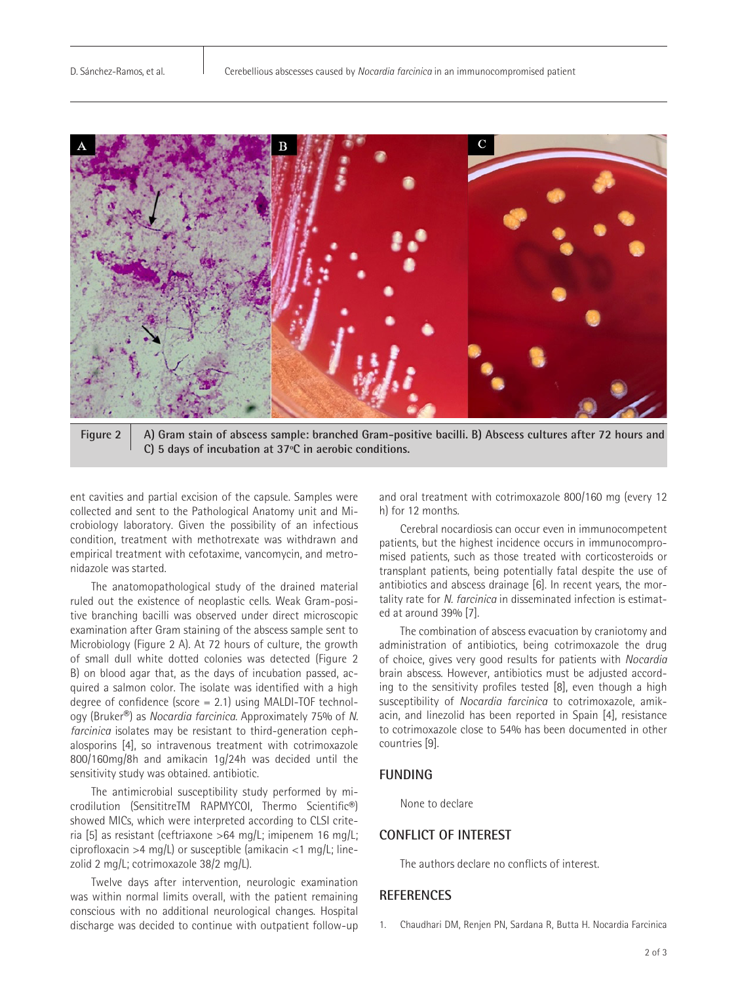

**Figure 2 A) Gram stain of abscess sample: branched Gram-positive bacilli. B) Abscess cultures after 72 hours and C) 5 days of incubation at 37ºC in aerobic conditions.**

ent cavities and partial excision of the capsule. Samples were collected and sent to the Pathological Anatomy unit and Microbiology laboratory. Given the possibility of an infectious condition, treatment with methotrexate was withdrawn and empirical treatment with cefotaxime, vancomycin, and metronidazole was started.

The anatomopathological study of the drained material ruled out the existence of neoplastic cells. Weak Gram-positive branching bacilli was observed under direct microscopic examination after Gram staining of the abscess sample sent to Microbiology (Figure 2 A). At 72 hours of culture, the growth of small dull white dotted colonies was detected (Figure 2 B) on blood agar that, as the days of incubation passed, acquired a salmon color. The isolate was identified with a high degree of confidence (score = 2.1) using MALDI-TOF technology (Bruker®) as *Nocardia farcinica.* Approximately 75% of *N. farcinica* isolates may be resistant to third-generation cephalosporins [4], so intravenous treatment with cotrimoxazole 800/160mg/8h and amikacin 1g/24h was decided until the sensitivity study was obtained. antibiotic.

The antimicrobial susceptibility study performed by microdilution (SensititreTM RAPMYCOI, Thermo Scientific®) showed MICs, which were interpreted according to CLSI criteria [5] as resistant (ceftriaxone >64 mg/L; imipenem 16 mg/L; ciprofloxacin >4 mg/L) or susceptible (amikacin <1 mg/L; linezolid 2 mg/L; cotrimoxazole 38/2 mg/L).

Twelve days after intervention, neurologic examination was within normal limits overall, with the patient remaining conscious with no additional neurological changes. Hospital discharge was decided to continue with outpatient follow-up and oral treatment with cotrimoxazole 800/160 mg (every 12 h) for 12 months.

Cerebral nocardiosis can occur even in immunocompetent patients, but the highest incidence occurs in immunocompromised patients, such as those treated with corticosteroids or transplant patients, being potentially fatal despite the use of antibiotics and abscess drainage [6]. In recent years, the mortality rate for *N. farcinica* in disseminated infection is estimated at around 39% [7].

The combination of abscess evacuation by craniotomy and administration of antibiotics, being cotrimoxazole the drug of choice, gives very good results for patients with *Nocardia*  brain abscess. However, antibiotics must be adjusted according to the sensitivity profiles tested [8], even though a high susceptibility of *Nocardia farcinica* to cotrimoxazole, amikacin, and linezolid has been reported in Spain [4], resistance to cotrimoxazole close to 54% has been documented in other countries [9].

#### **FUNDING**

None to declare

### **CONFLICT OF INTEREST**

The authors declare no conflicts of interest.

#### **REFERENCES**

1. Chaudhari DM, Renjen PN, Sardana R, Butta H. Nocardia Farcinica